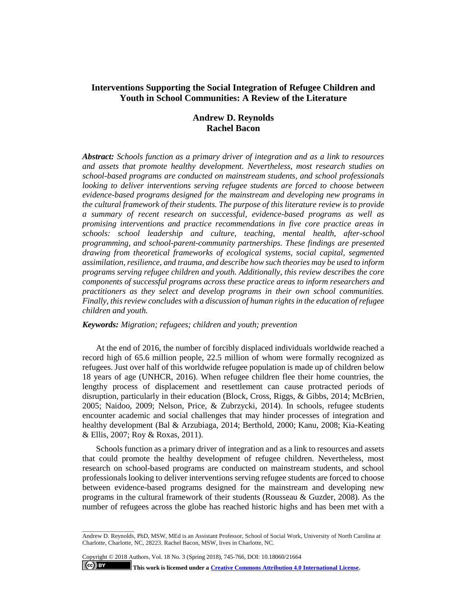## **Interventions Supporting the Social Integration of Refugee Children and Youth in School Communities: A Review of the Literature**

# **Andrew D. Reynolds Rachel Bacon**

*Abstract: Schools function as a primary driver of integration and as a link to resources and assets that promote healthy development. Nevertheless, most research studies on school-based programs are conducted on mainstream students, and school professionals looking to deliver interventions serving refugee students are forced to choose between evidence-based programs designed for the mainstream and developing new programs in the cultural framework of their students. The purpose of this literature review is to provide a summary of recent research on successful, evidence-based programs as well as promising interventions and practice recommendations in five core practice areas in schools: school leadership and culture, teaching, mental health, after-school programming, and school-parent-community partnerships. These findings are presented drawing from theoretical frameworks of ecological systems, social capital, segmented assimilation, resilience, and trauma, and describe how such theories may be used to inform programs serving refugee children and youth. Additionally, this review describes the core components of successful programs across these practice areas to inform researchers and practitioners as they select and develop programs in their own school communities. Finally, this review concludes with a discussion of human rights in the education of refugee children and youth.* 

#### *Keywords: Migration; refugees; children and youth; prevention*

At the end of 2016, the number of forcibly displaced individuals worldwide reached a record high of 65.6 million people, 22.5 million of whom were formally recognized as refugees. Just over half of this worldwide refugee population is made up of children below 18 years of age (UNHCR, 2016). When refugee children flee their home countries, the lengthy process of displacement and resettlement can cause protracted periods of disruption, particularly in their education (Block, Cross, Riggs, & Gibbs, 2014; McBrien, 2005; Naidoo, 2009; Nelson, Price, & Zubrzycki, 2014). In schools, refugee students encounter academic and social challenges that may hinder processes of integration and healthy development (Bal & Arzubiaga, 2014; Berthold, 2000; Kanu, 2008; Kia-Keating & Ellis, 2007; Roy & Roxas, 2011).

Schools function as a primary driver of integration and as a link to resources and assets that could promote the healthy development of refugee children. Nevertheless, most research on school-based programs are conducted on mainstream students, and school professionals looking to deliver interventions serving refugee students are forced to choose between evidence-based programs designed for the mainstream and developing new programs in the cultural framework of their students (Rousseau & Guzder, 2008). As the number of refugees across the globe has reached historic highs and has been met with a

Copyright © 2018 Authors, Vol. 18 No. 3 (Spring 2018), 745-766, DOI: 10.18060/21664

**This work is licensed under [a Creative Commons Attribution 4.0 International License.](https://creativecommons.org/licenses/by/4.0/)**

 $\left($ ce $\right)$  BY

\_\_\_\_\_\_\_\_\_\_\_\_\_\_\_\_\_

Andrew D. Reynolds, PhD, MSW, MEd is an Assistant Professor, School of Social Work, University of North Carolina at Charlotte, Charlotte, NC, 28223. Rachel Bacon, MSW, lives in Charlotte, NC.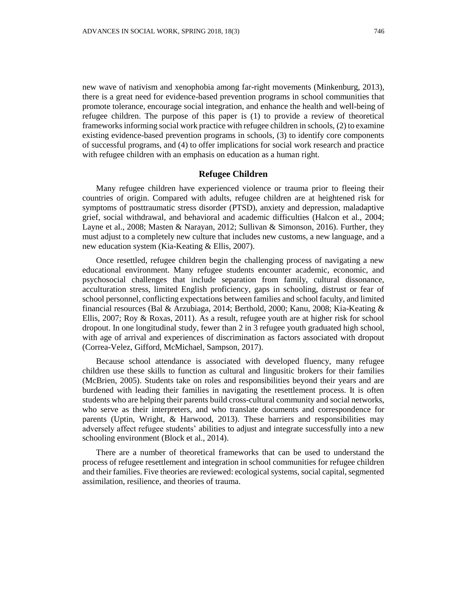new wave of nativism and xenophobia among far-right movements (Minkenburg, 2013), there is a great need for evidence-based prevention programs in school communities that promote tolerance, encourage social integration, and enhance the health and well-being of refugee children. The purpose of this paper is (1) to provide a review of theoretical frameworks informing social work practice with refugee children in schools, (2) to examine existing evidence-based prevention programs in schools, (3) to identify core components of successful programs, and (4) to offer implications for social work research and practice with refugee children with an emphasis on education as a human right.

#### **Refugee Children**

Many refugee children have experienced violence or trauma prior to fleeing their countries of origin. Compared with adults, refugee children are at heightened risk for symptoms of posttraumatic stress disorder (PTSD), anxiety and depression, maladaptive grief, social withdrawal, and behavioral and academic difficulties (Halcon et al., 2004; Layne et al., 2008; Masten & Narayan, 2012; Sullivan & Simonson, 2016). Further, they must adjust to a completely new culture that includes new customs, a new language, and a new education system (Kia-Keating & Ellis, 2007).

Once resettled, refugee children begin the challenging process of navigating a new educational environment. Many refugee students encounter academic, economic, and psychosocial challenges that include separation from family, cultural dissonance, acculturation stress, limited English proficiency, gaps in schooling, distrust or fear of school personnel, conflicting expectations between families and school faculty, and limited financial resources (Bal & Arzubiaga, 2014; Berthold, 2000; Kanu, 2008; Kia-Keating & Ellis, 2007; Roy & Roxas, 2011). As a result, refugee youth are at higher risk for school dropout. In one longitudinal study, fewer than 2 in 3 refugee youth graduated high school, with age of arrival and experiences of discrimination as factors associated with dropout (Correa-Velez, Gifford, McMichael, Sampson, 2017).

Because school attendance is associated with developed fluency, many refugee children use these skills to function as cultural and lingusitic brokers for their families (McBrien, 2005). Students take on roles and responsibilities beyond their years and are burdened with leading their families in navigating the resettlement process. It is often students who are helping their parents build cross-cultural community and social networks, who serve as their interpreters, and who translate documents and correspondence for parents (Uptin, Wright, & Harwood, 2013). These barriers and responsibilities may adversely affect refugee students' abilities to adjust and integrate successfully into a new schooling environment (Block et al., 2014).

There are a number of theoretical frameworks that can be used to understand the process of refugee resettlement and integration in school communities for refugee children and their families. Five theories are reviewed: ecological systems, social capital, segmented assimilation, resilience, and theories of trauma.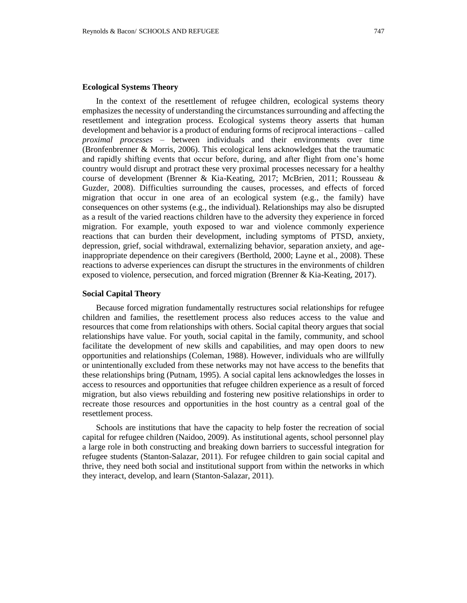#### **Ecological Systems Theory**

In the context of the resettlement of refugee children, ecological systems theory emphasizes the necessity of understanding the circumstances surrounding and affecting the resettlement and integration process. Ecological systems theory asserts that human development and behavior is a product of enduring forms of reciprocal interactions – called *proximal processes –* between individuals and their environments over time (Bronfenbrenner & Morris, 2006). This ecological lens acknowledges that the traumatic and rapidly shifting events that occur before, during, and after flight from one's home country would disrupt and protract these very proximal processes necessary for a healthy course of development (Brenner & Kia-Keating, 2017; McBrien, 2011; Rousseau & Guzder, 2008). Difficulties surrounding the causes, processes, and effects of forced migration that occur in one area of an ecological system (e.g., the family) have consequences on other systems (e.g., the individual). Relationships may also be disrupted as a result of the varied reactions children have to the adversity they experience in forced migration. For example, youth exposed to war and violence commonly experience reactions that can burden their development, including symptoms of PTSD, anxiety, depression, grief, social withdrawal, externalizing behavior, separation anxiety, and ageinappropriate dependence on their caregivers (Berthold, 2000; Layne et al., 2008). These reactions to adverse experiences can disrupt the structures in the environments of children exposed to violence, persecution, and forced migration (Brenner & Kia-Keating, 2017).

## **Social Capital Theory**

Because forced migration fundamentally restructures social relationships for refugee children and families, the resettlement process also reduces access to the value and resources that come from relationships with others. Social capital theory argues that social relationships have value. For youth, social capital in the family, community, and school facilitate the development of new skills and capabilities, and may open doors to new opportunities and relationships (Coleman, 1988). However, individuals who are willfully or unintentionally excluded from these networks may not have access to the benefits that these relationships bring (Putnam, 1995). A social capital lens acknowledges the losses in access to resources and opportunities that refugee children experience as a result of forced migration, but also views rebuilding and fostering new positive relationships in order to recreate those resources and opportunities in the host country as a central goal of the resettlement process.

Schools are institutions that have the capacity to help foster the recreation of social capital for refugee children (Naidoo, 2009). As institutional agents, school personnel play a large role in both constructing and breaking down barriers to successful integration for refugee students (Stanton-Salazar, 2011). For refugee children to gain social capital and thrive, they need both social and institutional support from within the networks in which they interact, develop, and learn (Stanton-Salazar, 2011).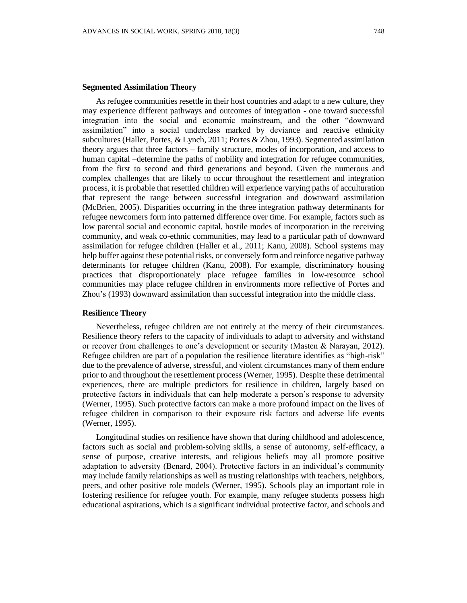#### **Segmented Assimilation Theory**

As refugee communities resettle in their host countries and adapt to a new culture, they may experience different pathways and outcomes of integration - one toward successful integration into the social and economic mainstream, and the other "downward assimilation" into a social underclass marked by deviance and reactive ethnicity subcultures (Haller, Portes, & Lynch, 2011; Portes & Zhou, 1993). Segmented assimilation theory argues that three factors – family structure, modes of incorporation, and access to human capital –determine the paths of mobility and integration for refugee communities, from the first to second and third generations and beyond. Given the numerous and complex challenges that are likely to occur throughout the resettlement and integration process, it is probable that resettled children will experience varying paths of acculturation that represent the range between successful integration and downward assimilation (McBrien, 2005). Disparities occurring in the three integration pathway determinants for refugee newcomers form into patterned difference over time. For example, factors such as low parental social and economic capital, hostile modes of incorporation in the receiving community, and weak co-ethnic communities, may lead to a particular path of downward assimilation for refugee children (Haller et al., 2011; Kanu, 2008). School systems may help buffer against these potential risks, or conversely form and reinforce negative pathway determinants for refugee children (Kanu, 2008). For example, discriminatory housing practices that disproportionately place refugee families in low-resource school communities may place refugee children in environments more reflective of Portes and Zhou's (1993) downward assimilation than successful integration into the middle class.

## **Resilience Theory**

Nevertheless, refugee children are not entirely at the mercy of their circumstances. Resilience theory refers to the capacity of individuals to adapt to adversity and withstand or recover from challenges to one's development or security (Masten & Narayan, 2012). Refugee children are part of a population the resilience literature identifies as "high-risk" due to the prevalence of adverse, stressful, and violent circumstances many of them endure prior to and throughout the resettlement process (Werner, 1995). Despite these detrimental experiences, there are multiple predictors for resilience in children, largely based on protective factors in individuals that can help moderate a person's response to adversity (Werner, 1995). Such protective factors can make a more profound impact on the lives of refugee children in comparison to their exposure risk factors and adverse life events (Werner, 1995).

Longitudinal studies on resilience have shown that during childhood and adolescence, factors such as social and problem-solving skills, a sense of autonomy, self-efficacy, a sense of purpose, creative interests, and religious beliefs may all promote positive adaptation to adversity (Benard, 2004). Protective factors in an individual's community may include family relationships as well as trusting relationships with teachers, neighbors, peers, and other positive role models (Werner, 1995). Schools play an important role in fostering resilience for refugee youth. For example, many refugee students possess high educational aspirations, which is a significant individual protective factor, and schools and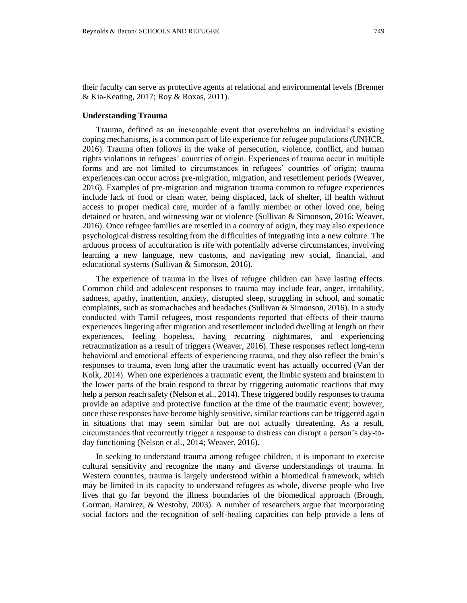their faculty can serve as protective agents at relational and environmental levels (Brenner & Kia-Keating, 2017; Roy & Roxas, 2011).

#### **Understanding Trauma**

Trauma, defined as an inescapable event that overwhelms an individual's existing coping mechanisms, is a common part of life experience for refugee populations (UNHCR, 2016). Trauma often follows in the wake of persecution, violence, conflict, and human rights violations in refugees' countries of origin. Experiences of trauma occur in multiple forms and are not limited to circumstances in refugees' countries of origin; trauma experiences can occur across pre-migration, migration, and resettlement periods (Weaver, 2016). Examples of pre-migration and migration trauma common to refugee experiences include lack of food or clean water, being displaced, lack of shelter, ill health without access to proper medical care, murder of a family member or other loved one, being detained or beaten, and witnessing war or violence (Sullivan & Simonson, 2016; Weaver, 2016). Once refugee families are resettled in a country of origin, they may also experience psychological distress resulting from the difficulties of integrating into a new culture. The arduous process of acculturation is rife with potentially adverse circumstances, involving learning a new language, new customs, and navigating new social, financial, and educational systems (Sullivan & Simonson, 2016).

The experience of trauma in the lives of refugee children can have lasting effects. Common child and adolescent responses to trauma may include fear, anger, irritability, sadness, apathy, inattention, anxiety, disrupted sleep, struggling in school, and somatic complaints, such as stomachaches and headaches (Sullivan & Simonson, 2016). In a study conducted with Tamil refugees, most respondents reported that effects of their trauma experiences lingering after migration and resettlement included dwelling at length on their experiences, feeling hopeless, having recurring nightmares, and experiencing retraumatization as a result of triggers (Weaver, 2016). These responses reflect long-term behavioral and emotional effects of experiencing trauma, and they also reflect the brain's responses to trauma, even long after the traumatic event has actually occurred (Van der Kolk, 2014). When one experiences a traumatic event, the limbic system and brainstem in the lower parts of the brain respond to threat by triggering automatic reactions that may help a person reach safety (Nelson et al., 2014). These triggered bodily responses to trauma provide an adaptive and protective function at the time of the traumatic event; however, once these responses have become highly sensitive, similar reactions can be triggered again in situations that may seem similar but are not actually threatening. As a result, circumstances that recurrently trigger a response to distress can disrupt a person's day-today functioning (Nelson et al., 2014; Weaver, 2016).

In seeking to understand trauma among refugee children, it is important to exercise cultural sensitivity and recognize the many and diverse understandings of trauma. In Western countries, trauma is largely understood within a biomedical framework, which may be limited in its capacity to understand refugees as whole, diverse people who live lives that go far beyond the illness boundaries of the biomedical approach (Brough, Gorman, Ramirez, & Westoby, 2003). A number of researchers argue that incorporating social factors and the recognition of self-healing capacities can help provide a lens of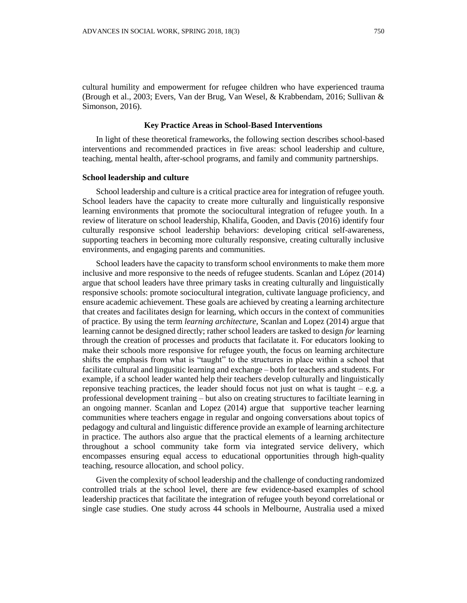#### **Key Practice Areas in School-Based Interventions**

In light of these theoretical frameworks, the following section describes school-based interventions and recommended practices in five areas: school leadership and culture, teaching, mental health, after-school programs, and family and community partnerships.

## **School leadership and culture**

Simonson, 2016).

School leadership and culture is a critical practice area for integration of refugee youth. School leaders have the capacity to create more culturally and linguistically responsive learning environments that promote the sociocultural integration of refugee youth. In a review of literature on school leadership, Khalifa, Gooden, and Davis (2016) identify four culturally responsive school leadership behaviors: developing critical self-awareness, supporting teachers in becoming more culturally responsive, creating culturally inclusive environments, and engaging parents and communities.

School leaders have the capacity to transform school environments to make them more inclusive and more responsive to the needs of refugee students. Scanlan and López (2014) argue that school leaders have three primary tasks in creating culturally and linguistically responsive schools: promote sociocultural integration, cultivate language proficiency, and ensure academic achievement. These goals are achieved by creating a learning architecture that creates and facilitates design for learning, which occurs in the context of communities of practice. By using the term *learning architecture*, Scanlan and Lopez (2014) argue that learning cannot be designed directly; rather school leaders are tasked to design *for* learning through the creation of processes and products that facilatate it. For educators looking to make their schools more responsive for refugee youth, the focus on learning architecture shifts the emphasis from what is "taught" to the structures in place within a school that facilitate cultural and lingusitic learning and exchange – both for teachers and students. For example, if a school leader wanted help their teachers develop culturally and linguistically reponsive teaching practices, the leader should focus not just on what is taught  $-e.g.$  a professional development training – but also on creating structures to faciltiate learning in an ongoing manner. Scanlan and Lopez (2014) argue that supportive teacher learning communities where teachers engage in regular and ongoing conversations about topics of pedagogy and cultural and linguistic difference provide an example of learning architecture in practice. The authors also argue that the practical elements of a learning architecture throughout a school community take form via integrated service delivery, which encompasses ensuring equal access to educational opportunities through high-quality teaching, resource allocation, and school policy.

Given the complexity of school leadership and the challenge of conducting randomized controlled trials at the school level, there are few evidence-based examples of school leadership practices that facilitate the integration of refugee youth beyond correlational or single case studies. One study across 44 schools in Melbourne, Australia used a mixed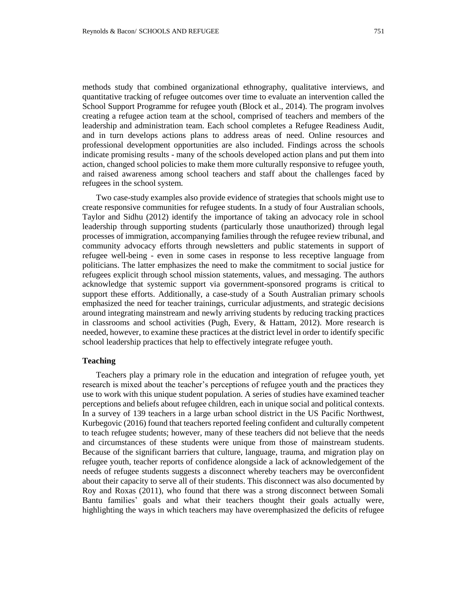methods study that combined organizational ethnography, qualitative interviews, and quantitative tracking of refugee outcomes over time to evaluate an intervention called the School Support Programme for refugee youth (Block et al., 2014). The program involves creating a refugee action team at the school, comprised of teachers and members of the leadership and administration team. Each school completes a Refugee Readiness Audit, and in turn develops actions plans to address areas of need. Online resources and professional development opportunities are also included. Findings across the schools indicate promising results - many of the schools developed action plans and put them into action, changed school policies to make them more culturally responsive to refugee youth, and raised awareness among school teachers and staff about the challenges faced by refugees in the school system.

Two case-study examples also provide evidence of strategies that schools might use to create responsive communities for refugee students. In a study of four Australian schools, Taylor and Sidhu (2012) identify the importance of taking an advocacy role in school leadership through supporting students (particularly those unauthorized) through legal processes of immigration, accompanying families through the refugee review tribunal, and community advocacy efforts through newsletters and public statements in support of refugee well-being - even in some cases in response to less receptive language from politicians. The latter emphasizes the need to make the commitment to social justice for refugees explicit through school mission statements, values, and messaging. The authors acknowledge that systemic support via government-sponsored programs is critical to support these efforts. Additionally, a case-study of a South Australian primary schools emphasized the need for teacher trainings, curricular adjustments, and strategic decisions around integrating mainstream and newly arriving students by reducing tracking practices in classrooms and school activities (Pugh, Every, & Hattam, 2012). More research is needed, however, to examine these practices at the district level in order to identify specific school leadership practices that help to effectively integrate refugee youth.

## **Teaching**

Teachers play a primary role in the education and integration of refugee youth, yet research is mixed about the teacher's perceptions of refugee youth and the practices they use to work with this unique student population. A series of studies have examined teacher perceptions and beliefs about refugee children, each in unique social and political contexts. In a survey of 139 teachers in a large urban school district in the US Pacific Northwest, Kurbegovic (2016) found that teachers reported feeling confident and culturally competent to teach refugee students; however, many of these teachers did not believe that the needs and circumstances of these students were unique from those of mainstream students. Because of the significant barriers that culture, language, trauma, and migration play on refugee youth, teacher reports of confidence alongside a lack of acknowledgement of the needs of refugee students suggests a disconnect whereby teachers may be overconfident about their capacity to serve all of their students. This disconnect was also documented by Roy and Roxas (2011), who found that there was a strong disconnect between Somali Bantu families' goals and what their teachers thought their goals actually were, highlighting the ways in which teachers may have overemphasized the deficits of refugee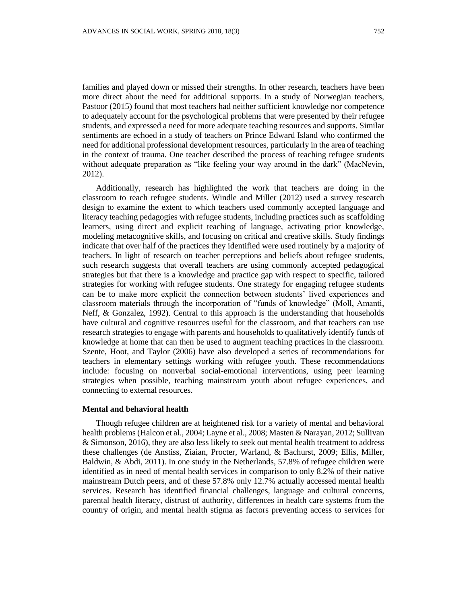families and played down or missed their strengths. In other research, teachers have been more direct about the need for additional supports. In a study of Norwegian teachers, Pastoor (2015) found that most teachers had neither sufficient knowledge nor competence to adequately account for the psychological problems that were presented by their refugee students, and expressed a need for more adequate teaching resources and supports. Similar sentiments are echoed in a study of teachers on Prince Edward Island who confirmed the need for additional professional development resources, particularly in the area of teaching in the context of trauma. One teacher described the process of teaching refugee students without adequate preparation as "like feeling your way around in the dark" (MacNevin, 2012).

Additionally, research has highlighted the work that teachers are doing in the classroom to reach refugee students. Windle and Miller (2012) used a survey research design to examine the extent to which teachers used commonly accepted language and literacy teaching pedagogies with refugee students, including practices such as scaffolding learners, using direct and explicit teaching of language, activating prior knowledge, modeling metacognitive skills, and focusing on critical and creative skills. Study findings indicate that over half of the practices they identified were used routinely by a majority of teachers. In light of research on teacher perceptions and beliefs about refugee students, such research suggests that overall teachers are using commonly accepted pedagogical strategies but that there is a knowledge and practice gap with respect to specific, tailored strategies for working with refugee students. One strategy for engaging refugee students can be to make more explicit the connection between students' lived experiences and classroom materials through the incorporation of "funds of knowledge" (Moll, Amanti, Neff, & Gonzalez, 1992). Central to this approach is the understanding that households have cultural and cognitive resources useful for the classroom, and that teachers can use research strategies to engage with parents and households to qualitatively identify funds of knowledge at home that can then be used to augment teaching practices in the classroom. Szente, Hoot, and Taylor (2006) have also developed a series of recommendations for teachers in elementary settings working with refugee youth. These recommendations include: focusing on nonverbal social-emotional interventions, using peer learning strategies when possible, teaching mainstream youth about refugee experiences, and connecting to external resources.

## **Mental and behavioral health**

Though refugee children are at heightened risk for a variety of mental and behavioral health problems (Halcon et al., 2004; Layne et al., 2008; Masten & Narayan, 2012; Sullivan & Simonson, 2016), they are also less likely to seek out mental health treatment to address these challenges (de Anstiss, Ziaian, Procter, Warland, & Bachurst, 2009; Ellis, Miller, Baldwin, & Abdi, 2011). In one study in the Netherlands, 57.8% of refugee children were identified as in need of mental health services in comparison to only 8.2% of their native mainstream Dutch peers, and of these 57.8% only 12.7% actually accessed mental health services. Research has identified financial challenges, language and cultural concerns, parental health literacy, distrust of authority, differences in health care systems from the country of origin, and mental health stigma as factors preventing access to services for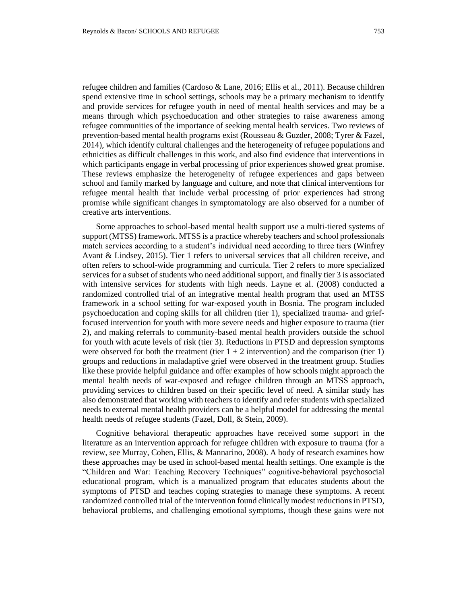refugee children and families (Cardoso & Lane, 2016; Ellis et al., 2011). Because children spend extensive time in school settings, schools may be a primary mechanism to identify and provide services for refugee youth in need of mental health services and may be a means through which psychoeducation and other strategies to raise awareness among refugee communities of the importance of seeking mental health services. Two reviews of prevention-based mental health programs exist (Rousseau & Guzder, 2008; Tyrer & Fazel, 2014), which identify cultural challenges and the heterogeneity of refugee populations and ethnicities as difficult challenges in this work, and also find evidence that interventions in which participants engage in verbal processing of prior experiences showed great promise. These reviews emphasize the heterogeneity of refugee experiences and gaps between school and family marked by language and culture, and note that clinical interventions for refugee mental health that include verbal processing of prior experiences had strong promise while significant changes in symptomatology are also observed for a number of creative arts interventions.

Some approaches to school-based mental health support use a multi-tiered systems of support (MTSS) framework. MTSS is a practice whereby teachers and school professionals match services according to a student's individual need according to three tiers (Winfrey Avant & Lindsey, 2015). Tier 1 refers to universal services that all children receive, and often refers to school-wide programming and curricula. Tier 2 refers to more specialized services for a subset of students who need additional support, and finally tier 3 is associated with intensive services for students with high needs. Layne et al. (2008) conducted a randomized controlled trial of an integrative mental health program that used an MTSS framework in a school setting for war-exposed youth in Bosnia. The program included psychoeducation and coping skills for all children (tier 1), specialized trauma- and grieffocused intervention for youth with more severe needs and higher exposure to trauma (tier 2), and making referrals to community-based mental health providers outside the school for youth with acute levels of risk (tier 3). Reductions in PTSD and depression symptoms were observed for both the treatment (tier  $1 + 2$  intervention) and the comparison (tier 1) groups and reductions in maladaptive grief were observed in the treatment group. Studies like these provide helpful guidance and offer examples of how schools might approach the mental health needs of war-exposed and refugee children through an MTSS approach, providing services to children based on their specific level of need. A similar study has also demonstrated that working with teachers to identify and refer students with specialized needs to external mental health providers can be a helpful model for addressing the mental health needs of refugee students (Fazel, Doll, & Stein, 2009).

Cognitive behavioral therapeutic approaches have received some support in the literature as an intervention approach for refugee children with exposure to trauma (for a review, see Murray, Cohen, Ellis, & Mannarino, 2008). A body of research examines how these approaches may be used in school-based mental health settings. One example is the "Children and War: Teaching Recovery Techniques" cognitive-behavioral psychosocial educational program, which is a manualized program that educates students about the symptoms of PTSD and teaches coping strategies to manage these symptoms. A recent randomized controlled trial of the intervention found clinically modest reductions in PTSD, behavioral problems, and challenging emotional symptoms, though these gains were not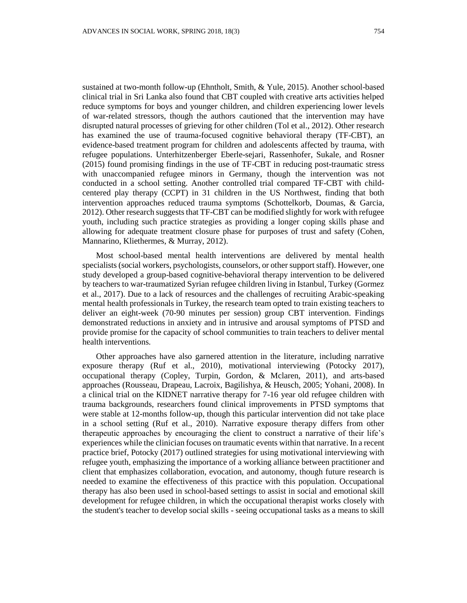sustained at two-month follow-up (Ehntholt, Smith, & Yule, 2015). Another school-based clinical trial in Sri Lanka also found that CBT coupled with creative arts activities helped reduce symptoms for boys and younger children, and children experiencing lower levels of war-related stressors, though the authors cautioned that the intervention may have disrupted natural processes of grieving for other children (Tol et al., 2012). Other research has examined the use of trauma-focused cognitive behavioral therapy (TF-CBT), an evidence-based treatment program for children and adolescents affected by trauma, with refugee populations. Unterhitzenberger Eberle-sejari, Rassenhofer, Sukale, and Rosner (2015) found promising findings in the use of TF-CBT in reducing post-traumatic stress with unaccompanied refugee minors in Germany, though the intervention was not conducted in a school setting. Another controlled trial compared TF-CBT with childcentered play therapy (CCPT) in 31 children in the US Northwest, finding that both intervention approaches reduced trauma symptoms (Schottelkorb, Doumas, & Garcia, 2012). Other research suggests that TF-CBT can be modified slightly for work with refugee youth, including such practice strategies as providing a longer coping skills phase and allowing for adequate treatment closure phase for purposes of trust and safety (Cohen, Mannarino, Kliethermes, & Murray, 2012).

Most school-based mental health interventions are delivered by mental health specialists (social workers, psychologists, counselors, or other support staff). However, one study developed a group-based cognitive-behavioral therapy intervention to be delivered by teachers to war-traumatized Syrian refugee children living in Istanbul, Turkey (Gormez et al., 2017). Due to a lack of resources and the challenges of recruiting Arabic-speaking mental health professionals in Turkey, the research team opted to train existing teachers to deliver an eight-week (70-90 minutes per session) group CBT intervention. Findings demonstrated reductions in anxiety and in intrusive and arousal symptoms of PTSD and provide promise for the capacity of school communities to train teachers to deliver mental health interventions.

Other approaches have also garnered attention in the literature, including narrative exposure therapy (Ruf et al., 2010), motivational interviewing (Potocky 2017), occupational therapy (Copley, Turpin, Gordon, & Mclaren, 2011), and arts-based approaches (Rousseau, Drapeau, Lacroix, Bagilishya, & Heusch, 2005; Yohani, 2008). In a clinical trial on the KIDNET narrative therapy for 7-16 year old refugee children with trauma backgrounds, researchers found clinical improvements in PTSD symptoms that were stable at 12-months follow-up, though this particular intervention did not take place in a school setting (Ruf et al., 2010). Narrative exposure therapy differs from other therapeutic approaches by encouraging the client to construct a narrative of their life's experiences while the clinician focuses on traumatic events within that narrative. In a recent practice brief, Potocky (2017) outlined strategies for using motivational interviewing with refugee youth, emphasizing the importance of a working alliance between practitioner and client that emphasizes collaboration, evocation, and autonomy, though future research is needed to examine the effectiveness of this practice with this population. Occupational therapy has also been used in school-based settings to assist in social and emotional skill development for refugee children, in which the occupational therapist works closely with the student's teacher to develop social skills - seeing occupational tasks as a means to skill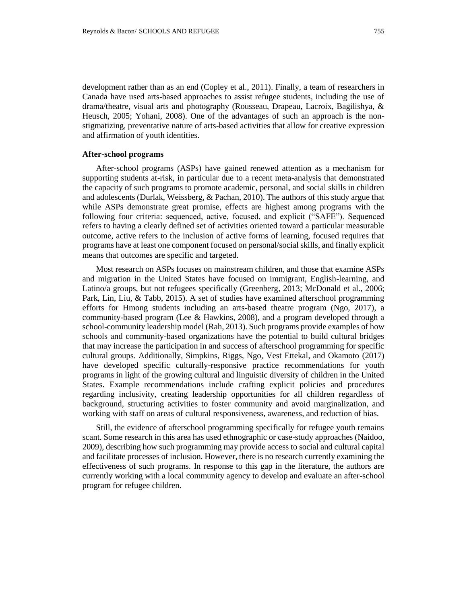development rather than as an end (Copley et al., 2011). Finally, a team of researchers in Canada have used arts-based approaches to assist refugee students, including the use of drama/theatre, visual arts and photography (Rousseau, Drapeau, Lacroix, Bagilishya, & Heusch, 2005; Yohani, 2008). One of the advantages of such an approach is the nonstigmatizing, preventative nature of arts-based activities that allow for creative expression and affirmation of youth identities.

## **After-school programs**

After-school programs (ASPs) have gained renewed attention as a mechanism for supporting students at-risk, in particular due to a recent meta-analysis that demonstrated the capacity of such programs to promote academic, personal, and social skills in children and adolescents (Durlak, Weissberg, & Pachan, 2010). The authors of this study argue that while ASPs demonstrate great promise, effects are highest among programs with the following four criteria: sequenced, active, focused, and explicit ("SAFE"). Sequenced refers to having a clearly defined set of activities oriented toward a particular measurable outcome, active refers to the inclusion of active forms of learning, focused requires that programs have at least one component focused on personal/social skills, and finally explicit means that outcomes are specific and targeted.

Most research on ASPs focuses on mainstream children, and those that examine ASPs and migration in the United States have focused on immigrant, English-learning, and Latino/a groups, but not refugees specifically (Greenberg, 2013; McDonald et al., 2006; Park, Lin, Liu, & Tabb, 2015). A set of studies have examined afterschool programming efforts for Hmong students including an arts-based theatre program (Ngo, 2017), a community-based program (Lee & Hawkins, 2008), and a program developed through a school-community leadership model (Rah, 2013). Such programs provide examples of how schools and community-based organizations have the potential to build cultural bridges that may increase the participation in and success of afterschool programming for specific cultural groups. Additionally, Simpkins, Riggs, Ngo, Vest Ettekal, and Okamoto (2017) have developed specific culturally-responsive practice recommendations for youth programs in light of the growing cultural and linguistic diversity of children in the United States. Example recommendations include crafting explicit policies and procedures regarding inclusivity, creating leadership opportunities for all children regardless of background, structuring activities to foster community and avoid marginalization, and working with staff on areas of cultural responsiveness, awareness, and reduction of bias.

Still, the evidence of afterschool programming specifically for refugee youth remains scant. Some research in this area has used ethnographic or case-study approaches (Naidoo, 2009), describing how such programming may provide access to social and cultural capital and facilitate processes of inclusion. However, there is no research currently examining the effectiveness of such programs. In response to this gap in the literature, the authors are currently working with a local community agency to develop and evaluate an after-school program for refugee children.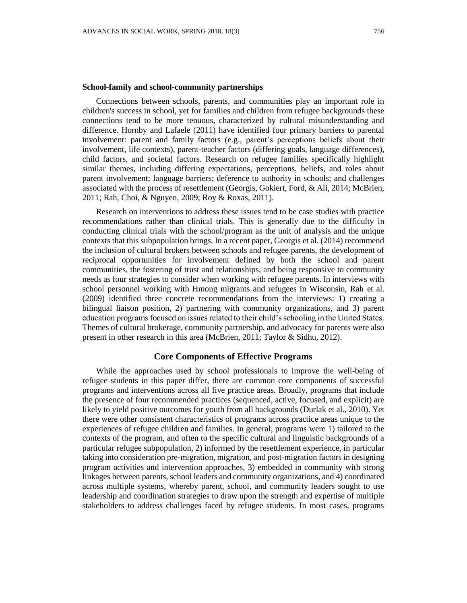#### **School-family and school-community partnerships**

Connections between schools, parents, and communities play an important role in children's success in school, yet for families and children from refugee backgrounds these connections tend to be more tenuous, characterized by cultural misunderstanding and difference. Hornby and Lafaele (2011) have identified four primary barriers to parental involvement: parent and family factors (e.g., parent's perceptions beliefs about their involvement, life contexts), parent-teacher factors (differing goals, language differences), child factors, and societal factors. Research on refugee families specifically highlight similar themes, including differing expectations, perceptions, beliefs, and roles about parent involvement; language barriers; deference to authority in schools; and challenges associated with the process of resettlement (Georgis, Gokiert, Ford, & Ali, 2014; McBrien, 2011; Rah, Choi, & Nguyen, 2009; Roy & Roxas, 2011).

Research on interventions to address these issues tend to be case studies with practice recommendations rather than clinical trials. This is generally due to the difficulty in conducting clinical trials with the school/program as the unit of analysis and the unique contexts that this subpopulation brings. In a recent paper, Georgis et al. (2014) recommend the inclusion of cultural brokers between schools and refugee parents, the development of reciprocal opportunities for involvement defined by both the school and parent communities, the fostering of trust and relationships, and being responsive to community needs as four strategies to consider when working with refugee parents. In interviews with school personnel working with Hmong migrants and refugees in Wisconsin, Rah et al. (2009) identified three concrete recommendations from the interviews: 1) creating a bilingual liaison position, 2) partnering with community organizations, and 3) parent education programs focused on issues related to their child's schooling in the United States. Themes of cultural brokerage, community partnership, and advocacy for parents were also present in other research in this area (McBrien, 2011; Taylor & Sidhu, 2012).

## **Core Components of Effective Programs**

While the approaches used by school professionals to improve the well-being of refugee students in this paper differ, there are common core components of successful programs and interventions across all five practice areas. Broadly, programs that include the presence of four recommended practices (sequenced, active, focused, and explicit) are likely to yield positive outcomes for youth from all backgrounds (Durlak et al., 2010). Yet there were other consistent characteristics of programs across practice areas unique to the experiences of refugee children and families. In general, programs were 1) tailored to the contexts of the program, and often to the specific cultural and linguistic backgrounds of a particular refugee subpopulation, 2) informed by the resettlement experience, in particular taking into consideration pre-migration, migration, and post-migration factors in designing program activities and intervention approaches, 3) embedded in community with strong linkages between parents, school leaders and community organizations, and 4) coordinated across multiple systems, whereby parent, school, and community leaders sought to use leadership and coordination strategies to draw upon the strength and expertise of multiple stakeholders to address challenges faced by refugee students. In most cases, programs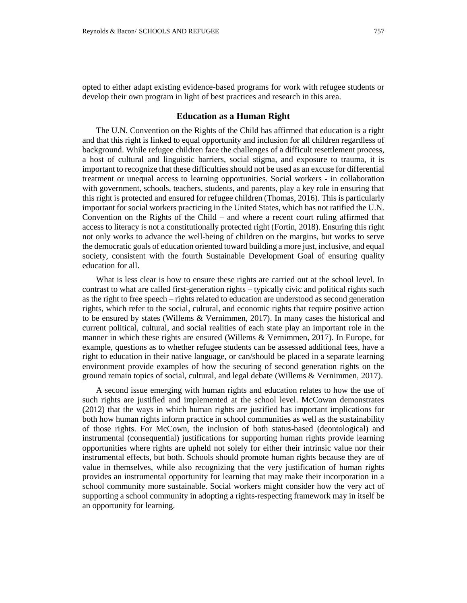opted to either adapt existing evidence-based programs for work with refugee students or develop their own program in light of best practices and research in this area.

## **Education as a Human Right**

The U.N. Convention on the Rights of the Child has affirmed that education is a right and that this right is linked to equal opportunity and inclusion for all children regardless of background. While refugee children face the challenges of a difficult resettlement process, a host of cultural and linguistic barriers, social stigma, and exposure to trauma, it is important to recognize that these difficulties should not be used as an excuse for differential treatment or unequal access to learning opportunities. Social workers - in collaboration with government, schools, teachers, students, and parents, play a key role in ensuring that this right is protected and ensured for refugee children (Thomas, 2016). This is particularly important for social workers practicing in the United States, which has not ratified the U.N. Convention on the Rights of the Child – and where a recent court ruling affirmed that access to literacy is not a constitutionally protected right (Fortin, 2018). Ensuring this right not only works to advance the well-being of children on the margins, but works to serve the democratic goals of education oriented toward building a more just, inclusive, and equal society, consistent with the fourth Sustainable Development Goal of ensuring quality education for all.

What is less clear is how to ensure these rights are carried out at the school level. In contrast to what are called first-generation rights – typically civic and political rights such as the right to free speech – rights related to education are understood as second generation rights, which refer to the social, cultural, and economic rights that require positive action to be ensured by states (Willems & Vernimmen, 2017). In many cases the historical and current political, cultural, and social realities of each state play an important role in the manner in which these rights are ensured (Willems & Vernimmen, 2017). In Europe, for example, questions as to whether refugee students can be assessed additional fees, have a right to education in their native language, or can/should be placed in a separate learning environment provide examples of how the securing of second generation rights on the ground remain topics of social, cultural, and legal debate (Willems & Vernimmen, 2017).

A second issue emerging with human rights and education relates to how the use of such rights are justified and implemented at the school level. McCowan demonstrates (2012) that the ways in which human rights are justified has important implications for both how human rights inform practice in school communities as well as the sustainability of those rights. For McCown, the inclusion of both status-based (deontological) and instrumental (consequential) justifications for supporting human rights provide learning opportunities where rights are upheld not solely for either their intrinsic value nor their instrumental effects, but both. Schools should promote human rights because they are of value in themselves, while also recognizing that the very justification of human rights provides an instrumental opportunity for learning that may make their incorporation in a school community more sustainable. Social workers might consider how the very act of supporting a school community in adopting a rights-respecting framework may in itself be an opportunity for learning.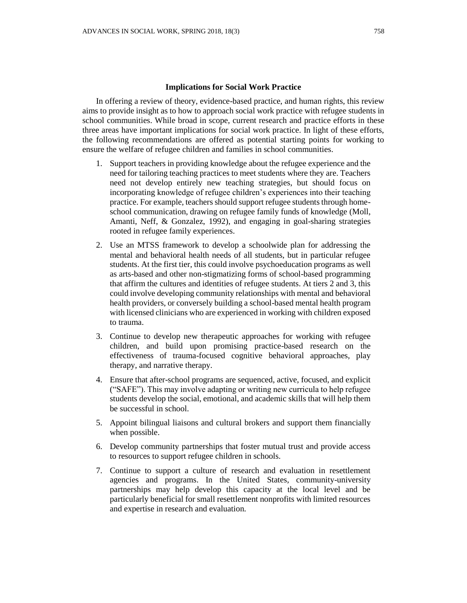#### **Implications for Social Work Practice**

In offering a review of theory, evidence-based practice, and human rights, this review aims to provide insight as to how to approach social work practice with refugee students in school communities. While broad in scope, current research and practice efforts in these three areas have important implications for social work practice. In light of these efforts, the following recommendations are offered as potential starting points for working to ensure the welfare of refugee children and families in school communities.

- 1. Support teachers in providing knowledge about the refugee experience and the need for tailoring teaching practices to meet students where they are. Teachers need not develop entirely new teaching strategies, but should focus on incorporating knowledge of refugee children's experiences into their teaching practice. For example, teachers should support refugee students through homeschool communication, drawing on refugee family funds of knowledge (Moll, Amanti, Neff, & Gonzalez, 1992), and engaging in goal-sharing strategies rooted in refugee family experiences.
- 2. Use an MTSS framework to develop a schoolwide plan for addressing the mental and behavioral health needs of all students, but in particular refugee students. At the first tier, this could involve psychoeducation programs as well as arts-based and other non-stigmatizing forms of school-based programming that affirm the cultures and identities of refugee students. At tiers 2 and 3, this could involve developing community relationships with mental and behavioral health providers, or conversely building a school-based mental health program with licensed clinicians who are experienced in working with children exposed to trauma.
- 3. Continue to develop new therapeutic approaches for working with refugee children, and build upon promising practice-based research on the effectiveness of trauma-focused cognitive behavioral approaches, play therapy, and narrative therapy.
- 4. Ensure that after-school programs are sequenced, active, focused, and explicit ("SAFE"). This may involve adapting or writing new curricula to help refugee students develop the social, emotional, and academic skills that will help them be successful in school.
- 5. Appoint bilingual liaisons and cultural brokers and support them financially when possible.
- 6. Develop community partnerships that foster mutual trust and provide access to resources to support refugee children in schools.
- 7. Continue to support a culture of research and evaluation in resettlement agencies and programs. In the United States, community-university partnerships may help develop this capacity at the local level and be particularly beneficial for small resettlement nonprofits with limited resources and expertise in research and evaluation.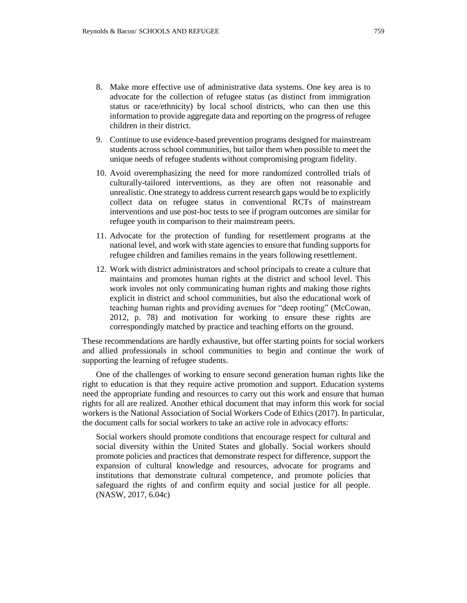- 8. Make more effective use of administrative data systems. One key area is to advocate for the collection of refugee status (as distinct from immigration status or race/ethnicity) by local school districts, who can then use this information to provide aggregate data and reporting on the progress of refugee children in their district.
- 9. Continue to use evidence-based prevention programs designed for mainstream students across school communities, but tailor them when possible to meet the unique needs of refugee students without compromising program fidelity.
- 10. Avoid overemphasizing the need for more randomized controlled trials of culturally-tailored interventions, as they are often not reasonable and unrealistic. One strategy to address current research gaps would be to explicitly collect data on refugee status in conventional RCTs of mainstream interventions and use post-hoc tests to see if program outcomes are similar for refugee youth in comparison to their mainstream peers.
- 11. Advocate for the protection of funding for resettlement programs at the national level, and work with state agencies to ensure that funding supports for refugee children and families remains in the years following resettlement.
- 12. Work with district administrators and school principals to create a culture that maintains and promotes human rights at the district and school level. This work involes not only communicating human rights and making those rights explicit in district and school communities, but also the educational work of teaching human rights and providing avenues for "deep rooting" (McCowan, 2012, p. 78) and motivation for working to ensure these rights are correspondingly matched by practice and teaching efforts on the ground.

These recommendations are hardly exhaustive, but offer starting points for social workers and allied professionals in school communities to begin and continue the work of supporting the learning of refugee students.

One of the challenges of working to ensure second generation human rights like the right to education is that they require active promotion and support. Education systems need the appropriate funding and resources to carry out this work and ensure that human rights for all are realized. Another ethical document that may inform this work for social workers is the National Association of Social Workers Code of Ethics (2017). In particular, the document calls for social workers to take an active role in advocacy efforts:

Social workers should promote conditions that encourage respect for cultural and social diversity within the United States and globally. Social workers should promote policies and practices that demonstrate respect for difference, support the expansion of cultural knowledge and resources, advocate for programs and institutions that demonstrate cultural competence, and promote policies that safeguard the rights of and confirm equity and social justice for all people. (NASW, 2017, 6.04c)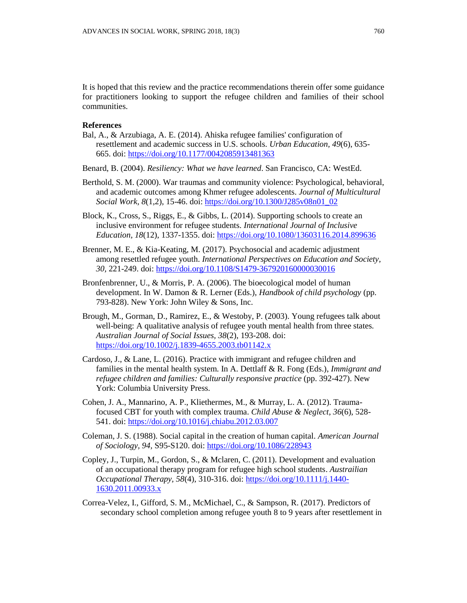It is hoped that this review and the practice recommendations therein offer some guidance for practitioners looking to support the refugee children and families of their school communities.

## **References**

- Bal, A., & Arzubiaga, A. E. (2014). Ahiska refugee families' configuration of resettlement and academic success in U.S. schools. *Urban Education, 49*(6), 635- 665. doi: <https://doi.org/10.1177/0042085913481363>
- Benard, B. (2004). *Resiliency: What we have learned*. San Francisco, CA: WestEd.
- Berthold, S. M. (2000). War traumas and community violence: Psychological, behavioral, and academic outcomes among Khmer refugee adolescents. *Journal of Multicultural Social Work, 8*(1,2), 15-46. doi: [https://doi.org/10.1300/J285v08n01\\_02](https://doi.org/10.1300/J285v08n01_02)
- Block, K., Cross, S., Riggs, E., & Gibbs, L. (2014). Supporting schools to create an inclusive environment for refugee students. *International Journal of Inclusive Education, 18*(12), 1337-1355. doi: <https://doi.org/10.1080/13603116.2014.899636>
- Brenner, M. E., & Kia-Keating, M. (2017). Psychosocial and academic adjustment among resettled refugee youth. *International Perspectives on Education and Society, 30,* 221-249. doi: <https://doi.org/10.1108/S1479-367920160000030016>
- Bronfenbrenner, U., & Morris, P. A. (2006). The bioecological model of human development. In W. Damon & R. Lerner (Eds.), *Handbook of child psychology* (pp. 793-828). New York: John Wiley & Sons, Inc.
- Brough, M., Gorman, D., Ramirez, E., & Westoby, P. (2003). Young refugees talk about well-being: A qualitative analysis of refugee youth mental health from three states. *Australian Journal of Social Issues, 38*(2), 193-208. doi: <https://doi.org/10.1002/j.1839-4655.2003.tb01142.x>
- Cardoso, J., & Lane, L. (2016). Practice with immigrant and refugee children and families in the mental health system. In A. Dettlaff & R. Fong (Eds.), *Immigrant and refugee children and families: Culturally responsive practice* (pp. 392-427). New York: Columbia University Press.
- Cohen, J. A., Mannarino, A. P., Kliethermes, M., & Murray, L. A. (2012). Traumafocused CBT for youth with complex trauma. *Child Abuse & Neglect*, *36*(6), 528- 541. doi: <https://doi.org/10.1016/j.chiabu.2012.03.007>
- Coleman, J. S. (1988). Social capital in the creation of human capital. *American Journal of Sociology, 94,* S95-S120. doi: <https://doi.org/10.1086/228943>
- Copley, J., Turpin, M., Gordon, S., & Mclaren, C. (2011). Development and evaluation of an occupational therapy program for refugee high school students. *Austrailian Occupational Therapy, 58*(4), 310-316. doi: [https://doi.org/10.1111/j.1440-](https://doi.org/10.1111/j.1440-1630.2011.00933.x) [1630.2011.00933.x](https://doi.org/10.1111/j.1440-1630.2011.00933.x)
- Correa-Velez, I., Gifford, S. M., McMichael, C., & Sampson, R. (2017). Predictors of secondary school completion among refugee youth 8 to 9 years after resettlement in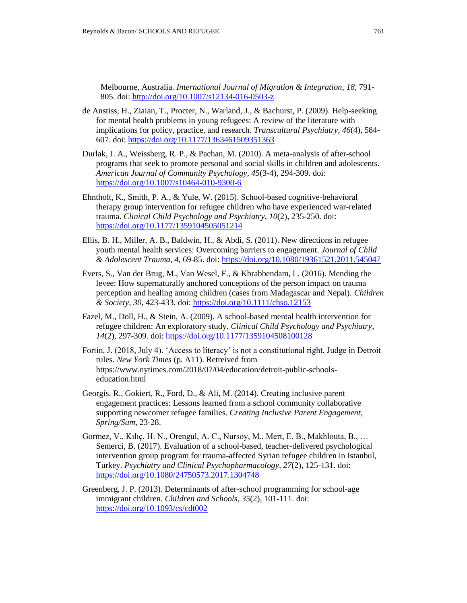Melbourne, Australia. *International Journal of Migration & Integration*, *18*, 791- 805. doi:<http://doi.org/10.1007/s12134-016-0503-z>

- de Anstiss, H., Ziaian, T., Procter, N., Warland, J., & Bachurst, P. (2009). Help-seeking for mental health problems in young refugees: A review of the literature with implications for policy, practice, and research. *Transcultural Psychiatry*, *46*(4), 584- 607. doi: <https://doi.org/10.1177/1363461509351363>
- Durlak, J. A., Weissberg, R. P., & Pachan, M. (2010). A meta-analysis of after-school programs that seek to promote personal and social skills in children and adolescents. *American Journal of Community Psychology*, *45*(3-4), 294-309. doi: <https://doi.org/10.1007/s10464-010-9300-6>
- Ehntholt, K., Smith, P. A., & Yule, W. (2015). School-based cognitive-behavioral therapy group intervention for refugee children who have experienced war-related trauma. *Clinical Child Psychology and Psychiatry*, *10*(2), 235-250. doi: <https://doi.org/10.1177/1359104505051214>
- Ellis, B. H., Miller, A. B., Baldwin, H., & Abdi, S. (2011). New directions in refugee youth mental health services: Overcoming barriers to engagement. *Journal of Child & Adolescent Trauma*, *4*, 69-85. doi: <https://doi.org/10.1080/19361521.2011.545047>
- Evers, S., Van der Brug, M., Van Wesel, F., & Kbrabbendam, L. (2016). Mending the levee: How supernaturally anchored conceptions of the person impact on trauma perception and healing among children (cases from Madagascar and Nepal). *Children & Society, 30,* 423-433. doi: <https://doi.org/10.1111/chso.12153>
- Fazel, M., Doll, H., & Stein, A. (2009). A school-based mental health intervention for refugee children: An exploratory study. *Clinical Child Psychology and Psychiatry*, *14*(2), 297-309. doi: <https://doi.org/10.1177/1359104508100128>
- Fortin, J. (2018, July 4). 'Access to literacy' is not a constitutional right, Judge in Detroit rules. *New York Times* (p*.* A11). Retreived from https://www.nytimes.com/2018/07/04/education/detroit-public-schoolseducation.html
- Georgis, R., Gokiert, R., Ford, D., & Ali, M. (2014). Creating inclusive parent engagement practices: Lessons learned from a school community collaborative supporting newcomer refugee families. *Creating Inclusive Parent Engagement*, *Spring/Sum*, 23-28.
- Gormez, V., Kılıç, H. N., Orengul, A. C., Nursoy, M., Mert, E. B., Makhlouta, B., … Semerci, B. (2017). Evaluation of a school-based, teacher-delivered psychological intervention group program for trauma-affected Syrian refugee children in Istanbul, Turkey. *Psychiatry and Clinical Psychopharmacology*, *27*(2), 125-131. doi: <https://doi.org/10.1080/24750573.2017.1304748>
- Greenberg, J. P. (2013). Determinants of after-school programming for school-age immigrant children. *Children and Schools*, *35*(2), 101-111. doi: <https://doi.org/10.1093/cs/cdt002>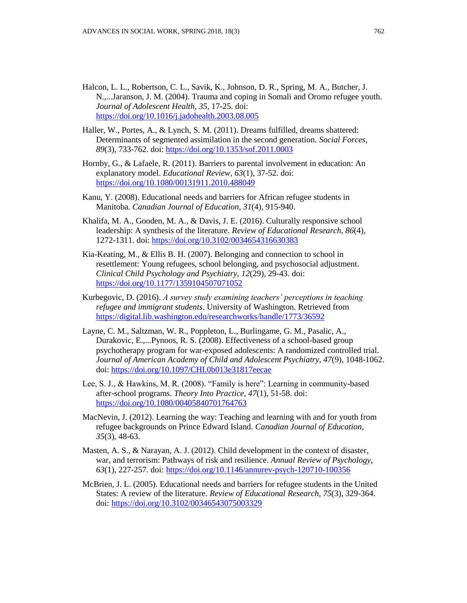- Halcon, L. L., Robertson, C. L., Savik, K., Johnson, D. R., Spring, M. A., Butcher, J. N.,...Jaranson, J. M. (2004). Trauma and coping in Somali and Oromo refugee youth. *Journal of Adolescent Health, 35,* 17-25. doi: <https://doi.org/10.1016/j.jadohealth.2003.08.005>
- Haller, W., Portes, A., & Lynch, S. M. (2011). Dreams fulfilled, dreams shattered: Determinants of segmented assimilation in the second generation. *Social Forces, 89*(3), 733-762. doi: <https://doi.org/10.1353/sof.2011.0003>
- Hornby, G., & Lafaele, R. (2011). Barriers to parental involvement in education: An explanatory model. *Educational Review*, *63*(1), 37-52. doi: <https://doi.org/10.1080/00131911.2010.488049>
- Kanu, Y. (2008). Educational needs and barriers for African refugee students in Manitoba. *Canadian Journal of Education, 31*(4), 915-940.
- Khalifa, M. A., Gooden, M. A., & Davis, J. E. (2016). Culturally responsive school leadership: A synthesis of the literature. *Review of Educational Research*, *86*(4), 1272-1311. doi: <https://doi.org/10.3102/0034654316630383>
- Kia-Keating, M., & Ellis B. H. (2007). Belonging and connection to school in resettlement: Young refugees, school belonging, and psychosocial adjustment. *Clinical Child Psychology and Psychiatry, 12*(29), 29-43. doi: <https://doi.org/10.1177/1359104507071052>
- Kurbegovic, D. (2016). *A survey study examining teachers' perceptions in teaching refugee and immigrant students*. University of Washington. Retrieved from <https://digital.lib.washington.edu/researchworks/handle/1773/36592>
- Layne, C. M., Saltzman, W. R., Poppleton, L., Burlingame, G. M., Pasalic, A., Durakovic, E.,...Pynoos, R. S. (2008). Effectiveness of a school-based group psychotherapy program for war-exposed adolescents: A randomized controlled trial. *Journal of American Academy of Child and Adolescent Psychiatry, 47*(9), 1048-1062. doi:<https://doi.org/10.1097/CHI.0b013e31817eecae>
- Lee, S. J., & Hawkins, M. R. (2008). "Family is here": Learning in community-based after-school programs. *Theory Into Practice, 47*(1), 51-58. doi: <https://doi.org/10.1080/00405840701764763>
- MacNevin, J. (2012). Learning the way: Teaching and learning with and for youth from refugee backgrounds on Prince Edward Island. *Canadian Journal of Education*, *35*(3), 48-63.
- Masten, A. S., & Narayan, A. J. (2012). Child development in the context of disaster, war, and terrorism: Pathways of risk and resilience. *Annual Review of Psychology*, *63*(1), 227-257. doi: <https://doi.org/10.1146/annurev-psych-120710-100356>
- McBrien, J. L. (2005). Educational needs and barriers for refugee students in the United States: A review of the literature. *Review of Educational Research*, *75*(3), 329-364. doi: <https://doi.org/10.3102/00346543075003329>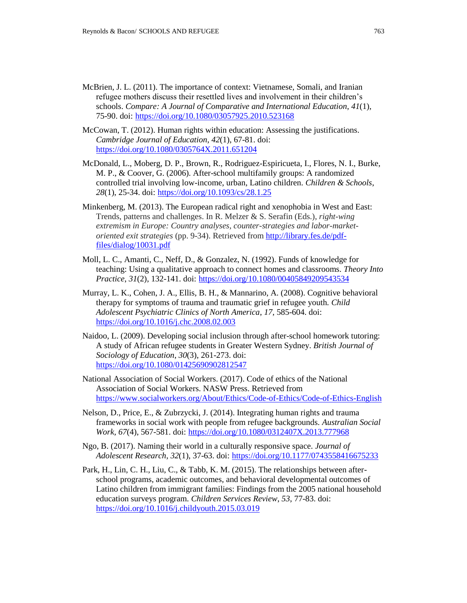- McBrien, J. L. (2011). The importance of context: Vietnamese, Somali, and Iranian refugee mothers discuss their resettled lives and involvement in their children's schools. *Compare: A Journal of Comparative and International Education*, *41*(1), 75-90. doi: <https://doi.org/10.1080/03057925.2010.523168>
- McCowan, T. (2012). Human rights within education: Assessing the justifications. *Cambridge Journal of Education*, *42*(1), 67-81. doi: <https://doi.org/10.1080/0305764X.2011.651204>
- McDonald, L., Moberg, D. P., Brown, R., Rodriguez-Espiricueta, I., Flores, N. I., Burke, M. P., & Coover, G. (2006). After-school multifamily groups: A randomized controlled trial involving low-income, urban, Latino children. *Children & Schools*, *28*(1), 25-34. doi: <https://doi.org/10.1093/cs/28.1.25>
- Minkenberg, M. (2013). The European radical right and xenophobia in West and East: Trends, patterns and challenges. In R. Melzer & S. Serafin (Eds.), *right-wing extremism in Europe: Country analyses, counter-strategies and labor-marketoriented exit strategies* (pp. 9-34). Retrieved fro[m http://library.fes.de/pdf](http://library.fes.de/pdf-files/dialog/10031.pdf)[files/dialog/10031.pdf](http://library.fes.de/pdf-files/dialog/10031.pdf)
- Moll, L. C., Amanti, C., Neff, D., & Gonzalez, N. (1992). Funds of knowledge for teaching: Using a qualitative approach to connect homes and classrooms. *Theory Into Practice*, *31*(2), 132-141. doi: <https://doi.org/10.1080/00405849209543534>
- Murray, L. K., Cohen, J. A., Ellis, B. H., & Mannarino, A. (2008). Cognitive behavioral therapy for symptoms of trauma and traumatic grief in refugee youth. *Child Adolescent Psychiatric Clinics of North America*, *17*, 585-604. doi: <https://doi.org/10.1016/j.chc.2008.02.003>
- Naidoo, L. (2009). Developing social inclusion through after-school homework tutoring: A study of African refugee students in Greater Western Sydney. *British Journal of Sociology of Education*, *30*(3), 261-273. doi: <https://doi.org/10.1080/01425690902812547>
- National Association of Social Workers. (2017). Code of ethics of the National Association of Social Workers. NASW Press. Retrieved from <https://www.socialworkers.org/About/Ethics/Code-of-Ethics/Code-of-Ethics-English>
- Nelson, D., Price, E., & Zubrzycki, J. (2014). Integrating human rights and trauma frameworks in social work with people from refugee backgrounds. *Australian Social Work, 67*(4), 567-581. doi: <https://doi.org/10.1080/0312407X.2013.777968>
- Ngo, B. (2017). Naming their world in a culturally responsive space. *Journal of Adolescent Research*, *32*(1), 37-63. doi: <https://doi.org/10.1177/0743558416675233>
- Park, H., Lin, C. H., Liu, C., & Tabb, K. M. (2015). The relationships between afterschool programs, academic outcomes, and behavioral developmental outcomes of Latino children from immigrant families: Findings from the 2005 national household education surveys program. *Children Services Review*, *53*, 77-83. doi: <https://doi.org/10.1016/j.childyouth.2015.03.019>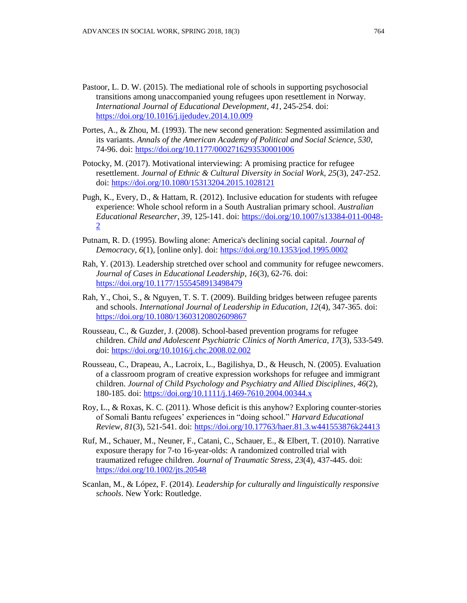- Pastoor, L. D. W. (2015). The mediational role of schools in supporting psychosocial transitions among unaccompanied young refugees upon resettlement in Norway. *International Journal of Educational Development*, *41*, 245-254. doi: <https://doi.org/10.1016/j.ijedudev.2014.10.009>
- Portes, A., & Zhou, M. (1993). The new second generation: Segmented assimilation and its variants. *Annals of the American Academy of Political and Social Science, 530*, 74-96. doi: <https://doi.org/10.1177/0002716293530001006>
- Potocky, M. (2017). Motivational interviewing: A promising practice for refugee resettlement. *Journal of Ethnic & Cultural Diversity in Social Work*, *25*(3), 247-252. doi: <https://doi.org/10.1080/15313204.2015.1028121>
- Pugh, K., Every, D., & Hattam, R. (2012). Inclusive education for students with refugee experience: Whole school reform in a South Australian primary school. *Australian Educational Researcher*, *39*, 125-141. doi: [https://doi.org/10.1007/s13384-011-0048-](https://doi.org/10.1007/s13384-011-0048-2) [2](https://doi.org/10.1007/s13384-011-0048-2)
- Putnam, R. D. (1995). Bowling alone: America's declining social capital. *Journal of Democracy, 6*(1), [online only]. doi: <https://doi.org/10.1353/jod.1995.0002>
- Rah, Y. (2013). Leadership stretched over school and community for refugee newcomers. *Journal of Cases in Educational Leadership*, *16*(3), 62-76. doi: <https://doi.org/10.1177/1555458913498479>
- Rah, Y., Choi, S., & Nguyen, T. S. T. (2009). Building bridges between refugee parents and schools. *International Journal of Leadership in Education*, *12*(4), 347-365. doi: <https://doi.org/10.1080/13603120802609867>
- Rousseau, C., & Guzder, J. (2008). School-based prevention programs for refugee children. *Child and Adolescent Psychiatric Clinics of North America*, *17*(3), 533-549. doi: <https://doi.org/10.1016/j.chc.2008.02.002>
- Rousseau, C., Drapeau, A., Lacroix, L., Bagilishya, D., & Heusch, N. (2005). Evaluation of a classroom program of creative expression workshops for refugee and immigrant children. *Journal of Child Psychology and Psychiatry and Allied Disciplines*, *46*(2), 180-185. doi: <https://doi.org/10.1111/j.1469-7610.2004.00344.x>
- Roy, L., & Roxas, K. C. (2011). Whose deficit is this anyhow? Exploring counter-stories of Somali Bantu refugees' experiences in "doing school." *Harvard Educational Review*, *81*(3), 521-541. doi: <https://doi.org/10.17763/haer.81.3.w441553876k24413>
- Ruf, M., Schauer, M., Neuner, F., Catani, C., Schauer, E., & Elbert, T. (2010). Narrative exposure therapy for 7-to 16-year-olds: A randomized controlled trial with traumatized refugee children. *Journal of Traumatic Stress*, *23*(4), 437-445. doi: <https://doi.org/10.1002/jts.20548>
- Scanlan, M., & López, F. (2014). *Leadership for culturally and linguistically responsive schools*. New York: Routledge.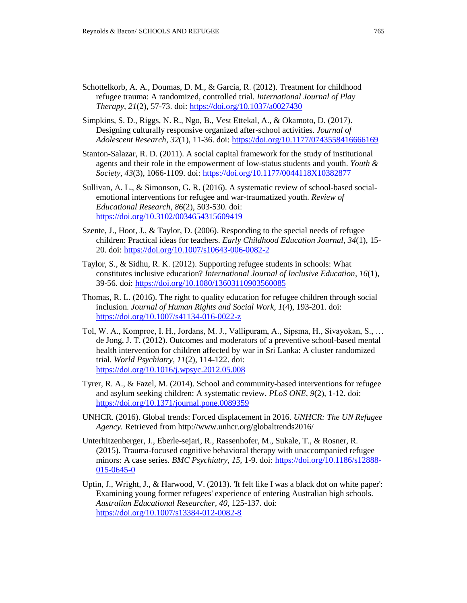- Schottelkorb, A. A., Doumas, D. M., & Garcia, R. (2012). Treatment for childhood refugee trauma: A randomized, controlled trial. *International Journal of Play Therapy*, *21*(2), 57-73. doi: <https://doi.org/10.1037/a0027430>
- Simpkins, S. D., Riggs, N. R., Ngo, B., Vest Ettekal, A., & Okamoto, D. (2017). Designing culturally responsive organized after-school activities. *Journal of Adolescent Research*, *32*(1), 11-36. doi: <https://doi.org/10.1177/0743558416666169>
- Stanton-Salazar, R. D. (2011). A social capital framework for the study of institutional agents and their role in the empowerment of low-status students and youth. *Youth & Society, 43*(3), 1066-1109. doi: <https://doi.org/10.1177/0044118X10382877>
- Sullivan, A. L., & Simonson, G. R. (2016). A systematic review of school-based socialemotional interventions for refugee and war-traumatized youth. *Review of Educational Research*, *86*(2), 503-530. doi: <https://doi.org/10.3102/0034654315609419>
- Szente, J., Hoot, J., & Taylor, D. (2006). Responding to the special needs of refugee children: Practical ideas for teachers. *Early Childhood Education Journal*, *34*(1), 15- 20. doi: <https://doi.org/10.1007/s10643-006-0082-2>
- Taylor, S., & Sidhu, R. K. (2012). Supporting refugee students in schools: What constitutes inclusive education? *International Journal of Inclusive Education*, *16*(1), 39-56. doi: <https://doi.org/10.1080/13603110903560085>
- Thomas, R. L. (2016). The right to quality education for refugee children through social inclusion. *Journal of Human Rights and Social Work, 1*(4), 193-201. doi: <https://doi.org/10.1007/s41134-016-0022-z>
- Tol, W. A., Komproe, I. H., Jordans, M. J., Vallipuram, A., Sipsma, H., Sivayokan, S., … de Jong, J. T. (2012). Outcomes and moderators of a preventive school-based mental health intervention for children affected by war in Sri Lanka: A cluster randomized trial. *World Psychiatry*, *11*(2), 114-122. doi: <https://doi.org/10.1016/j.wpsyc.2012.05.008>
- Tyrer, R. A., & Fazel, M. (2014). School and community-based interventions for refugee and asylum seeking children: A systematic review. *PLoS ONE*, *9*(2), 1-12. doi: <https://doi.org/10.1371/journal.pone.0089359>
- UNHCR. (2016). Global trends: Forced displacement in 2016. *UNHCR: The UN Refugee Agency.* Retrieved from <http://www.unhcr.org/globaltrends2016/>
- Unterhitzenberger, J., Eberle-sejari, R., Rassenhofer, M., Sukale, T., & Rosner, R. (2015). Trauma-focused cognitive behavioral therapy with unaccompanied refugee minors: A case series. *BMC Psychiatry*, *15,* 1-9. doi: [https://doi.org/10.1186/s12888-](https://doi.org/10.1186/s12888-015-0645-0) [015-0645-0](https://doi.org/10.1186/s12888-015-0645-0)
- Uptin, J., Wright, J., & Harwood, V. (2013). 'It felt like I was a black dot on white paper': Examining young former refugees' experience of entering Australian high schools. *Australian Educational Researcher, 40,* 125-137. doi: <https://doi.org/10.1007/s13384-012-0082-8>